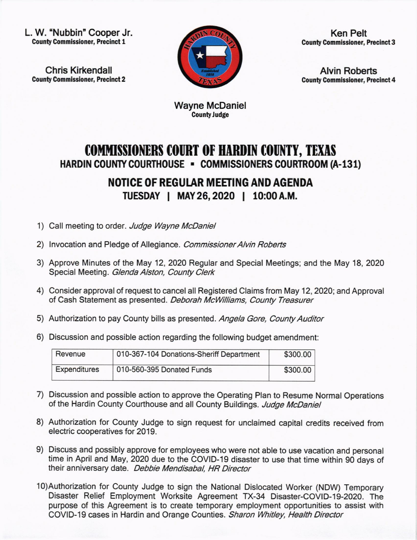L. W. "Nubbin" Cooper Jr. County Commlssioner, Precinct 1

Chris Kirkendall **County Commissioner, Precinct 2** 



Ken Pelt **County Commissioner, Precinct 3** 

Alvin Roberts **County Commissioner, Precinct 4** 

Wayne McDaniel County Judge

## **COMMISSIONERS COURT OF HARDIN COUNTY, TEXAS** HARDIN COUNTY COURTHOUSE - COMMISSIONERS COURTROOM (A-131)

## NOTICE OF REGULAR MEETING AND AGENDA TUESDAY | MAY 26, 2020 | 10:00 A.M.

- 1) Call meeting to order. Judge Wayne McDaniel
- 2) Invocation and Pledge of Allegiance. Commissioner Alvin Roberts
- 3) Approve Minutes of the May 12,2020 Regular and Special Meetings; and the May 18,202O Special Meeting. Glenda Alston, County Clerk
- 4) Consider approval of request to cancel all Registered Claims from May 12, 2020; and Approval of Cash Statement as presented. Deborah McWilliams, County Treasurer
- 5) Authorization to pay County bills as presented. Angela Gore, County Auditor
- 6) Discussion and possible action regarding the following budget amendment:

| Revenue             | 010-367-104 Donations-Sheriff Department | \$300.00 |
|---------------------|------------------------------------------|----------|
| <b>Expenditures</b> | 010-560-395 Donated Funds                | \$300.00 |

- 7) Discussion and possible action to approve the Operating Plan to Resume Normal Operations of the Hardin County Courthouse and all County Buildings. Judge McDaniel
- 8) Authorization for County Judge to sign request for unclaimed capital credits received from electric cooperatives for 2019.
- 9) Discuss and possibly approve for employees who were not able to use vacation and personal time in April and May, 2O2O due to the COVID-19 disaster to use that time within 90 days of their anniversary date. Debbie Mendisabal, HR Director
- 10)Authorization for county Judge to sign the National Dislocated worker (NDW) Temporary Disaster Relief Employment Worksite Agreement TX-34 Disaster-COVID-19-2020. The purpose of this Agreement is to create temporary employment opportunities to assist with COVID-19 cases in Hardin and Orange Counties. Sharon Whitley, Health Director